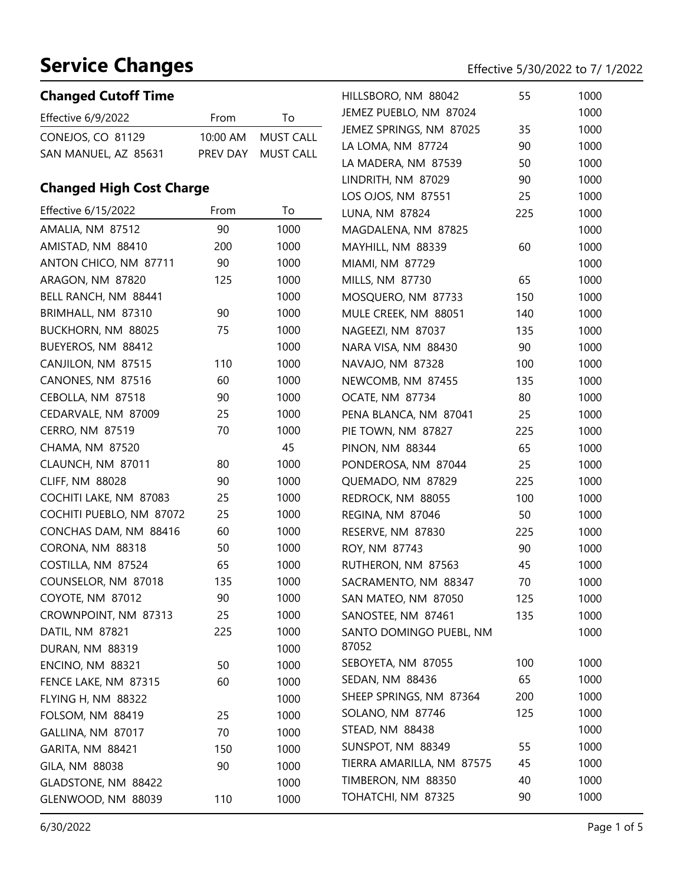#### **Changed Cutoff Time**

| Effective $6/9/2022$ | From | Tο.                |
|----------------------|------|--------------------|
| CONEJOS, CO 81129    |      | 10:00 AM MUST CALL |
| SAN MANUEL, AZ 85631 |      | PREV DAY MUST CALL |

#### **Changed High Cost Charge**

| Changed High Cost Charge |      |      | LOS OJOS, NM 87551        | 25  | 1000 |
|--------------------------|------|------|---------------------------|-----|------|
| Effective 6/15/2022      | From | To   | LUNA, NM 87824            | 225 | 1000 |
| AMALIA, NM 87512         | 90   | 1000 | MAGDALENA, NM 87825       |     | 1000 |
| AMISTAD, NM 88410        | 200  | 1000 | MAYHILL, NM 88339         | 60  | 1000 |
| ANTON CHICO, NM 87711    | 90   | 1000 | MIAMI, NM 87729           |     | 1000 |
| ARAGON, NM 87820         | 125  | 1000 | MILLS, NM 87730           | 65  | 1000 |
| BELL RANCH, NM 88441     |      | 1000 | MOSQUERO, NM 87733        | 150 | 1000 |
| BRIMHALL, NM 87310       | 90   | 1000 | MULE CREEK, NM 88051      | 140 | 1000 |
| BUCKHORN, NM 88025       | 75   | 1000 | NAGEEZI, NM 87037         | 135 | 1000 |
| BUEYEROS, NM 88412       |      | 1000 | NARA VISA, NM 88430       | 90  | 1000 |
| CANJILON, NM 87515       | 110  | 1000 | NAVAJO, NM 87328          | 100 | 1000 |
| CANONES, NM 87516        | 60   | 1000 | NEWCOMB, NM 87455         | 135 | 1000 |
| CEBOLLA, NM 87518        | 90   | 1000 | OCATE, NM 87734           | 80  | 1000 |
| CEDARVALE, NM 87009      | 25   | 1000 | PENA BLANCA, NM 87041     | 25  | 1000 |
| CERRO, NM 87519          | 70   | 1000 | PIE TOWN, NM 87827        | 225 | 1000 |
| CHAMA, NM 87520          |      | 45   | <b>PINON, NM 88344</b>    | 65  | 1000 |
| CLAUNCH, NM 87011        | 80   | 1000 | PONDEROSA, NM 87044       | 25  | 1000 |
| <b>CLIFF, NM 88028</b>   | 90   | 1000 | QUEMADO, NM 87829         | 225 | 1000 |
| COCHITI LAKE, NM 87083   | 25   | 1000 | REDROCK, NM 88055         | 100 | 1000 |
| COCHITI PUEBLO, NM 87072 | 25   | 1000 | REGINA, NM 87046          | 50  | 1000 |
| CONCHAS DAM, NM 88416    | 60   | 1000 | RESERVE, NM 87830         | 225 | 1000 |
| CORONA, NM 88318         | 50   | 1000 | ROY, NM 87743             | 90  | 1000 |
| COSTILLA, NM 87524       | 65   | 1000 | RUTHERON, NM 87563        | 45  | 1000 |
| COUNSELOR, NM 87018      | 135  | 1000 | SACRAMENTO, NM 88347      | 70  | 1000 |
| COYOTE, NM 87012         | 90   | 1000 | SAN MATEO, NM 87050       | 125 | 1000 |
| CROWNPOINT, NM 87313     | 25   | 1000 | SANOSTEE, NM 87461        | 135 | 1000 |
| DATIL, NM 87821          | 225  | 1000 | SANTO DOMINGO PUEBL, NM   |     | 1000 |
| DURAN, NM 88319          |      | 1000 | 87052                     |     |      |
| <b>ENCINO, NM 88321</b>  | 50   | 1000 | SEBOYETA, NM 87055        | 100 | 1000 |
| FENCE LAKE, NM 87315     | 60   | 1000 | SEDAN, NM 88436           | 65  | 1000 |
| FLYING H, NM 88322       |      | 1000 | SHEEP SPRINGS, NM 87364   | 200 | 1000 |
| FOLSOM, NM 88419         | 25   | 1000 | SOLANO, NM 87746          | 125 | 1000 |
| GALLINA, NM 87017        | 70   | 1000 | STEAD, NM 88438           |     | 1000 |
| GARITA, NM 88421         | 150  | 1000 | SUNSPOT, NM 88349         | 55  | 1000 |
| GILA, NM 88038           | 90   | 1000 | TIERRA AMARILLA, NM 87575 | 45  | 1000 |
| GLADSTONE, NM 88422      |      | 1000 | TIMBERON, NM 88350        | 40  | 1000 |
| GLENWOOD, NM 88039       | 110  | 1000 | TOHATCHI, NM 87325        | 90  | 1000 |
|                          |      |      |                           |     |      |

HILLSBORO, NM 88042 55 1000 JEMEZ PUEBLO, NM 87024 1000 JEMEZ SPRINGS, NM 87025 35 1000 LA LOMA, NM 87724 90 1000 LA MADERA, NM 87539 50 1000 LINDRITH, NM 87029 90 1000

| 80  | 1000 | PONDEROSA, NM 87044      |
|-----|------|--------------------------|
| 90  | 1000 | QUEMADO, NM 87829        |
| 25  | 1000 | REDROCK, NM 88055        |
| 25  | 1000 | REGINA, NM 87046         |
| 60  | 1000 | RESERVE, NM 87830        |
| 50  | 1000 | ROY, NM 87743            |
| 65  | 1000 | RUTHERON, NM 87563       |
| 135 | 1000 | SACRAMENTO, NM 88347     |
| 90  | 1000 | SAN MATEO, NM 87050      |
| 25  | 1000 | SANOSTEE, NM 87461       |
| 225 | 1000 | SANTO DOMINGO PUEBL, NN  |
|     | 1000 | 87052                    |
| 50  | 1000 | SEBOYETA, NM 87055       |
| 60  | 1000 | SEDAN, NM 88436          |
|     | 1000 | SHEEP SPRINGS, NM 87364  |
| 25  | 1000 | SOLANO, NM 87746         |
| 70  | 1000 | STEAD, NM 88438          |
| 150 | 1000 | SUNSPOT, NM 88349        |
| 90  | 1000 | TIERRA AMARILLA, NM 8757 |
|     | 1000 | TIMBERON, NM 88350       |
| 110 | 1000 | TOHATCHI, NM 87325       |
|     |      |                          |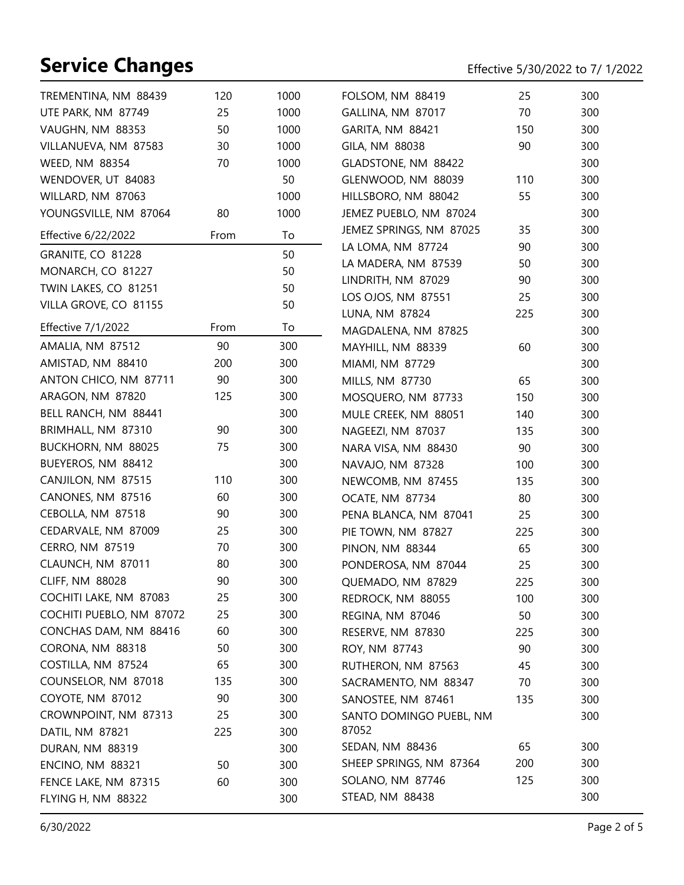| TREMENTINA, NM 88439      | 120  | 1000 | FOLSOM, NM 88419        | 25  | 300 |
|---------------------------|------|------|-------------------------|-----|-----|
| UTE PARK, NM 87749        | 25   | 1000 | GALLINA, NM 87017       | 70  | 300 |
| VAUGHN, NM 88353          | 50   | 1000 | GARITA, NM 88421        | 150 | 300 |
| VILLANUEVA, NM 87583      | 30   | 1000 | GILA, NM 88038          | 90  | 300 |
| WEED, NM 88354            | 70   | 1000 | GLADSTONE, NM 88422     |     | 300 |
| WENDOVER, UT 84083        |      | 50   | GLENWOOD, NM 88039      | 110 | 300 |
| WILLARD, NM 87063         |      | 1000 | HILLSBORO, NM 88042     | 55  | 300 |
| YOUNGSVILLE, NM 87064     | 80   | 1000 | JEMEZ PUEBLO, NM 87024  |     | 300 |
| Effective 6/22/2022       | From | To   | JEMEZ SPRINGS, NM 87025 | 35  | 300 |
| GRANITE, CO 81228         |      | 50   | LA LOMA, NM 87724       | 90  | 300 |
| MONARCH, CO 81227         |      | 50   | LA MADERA, NM 87539     | 50  | 300 |
| TWIN LAKES, CO 81251      |      | 50   | LINDRITH, NM 87029      | 90  | 300 |
| VILLA GROVE, CO 81155     |      | 50   | LOS OJOS, NM 87551      | 25  | 300 |
|                           |      |      | LUNA, NM 87824          | 225 | 300 |
| <b>Effective 7/1/2022</b> | From | To   | MAGDALENA, NM 87825     |     | 300 |
| AMALIA, NM 87512          | 90   | 300  | MAYHILL, NM 88339       | 60  | 300 |
| AMISTAD, NM 88410         | 200  | 300  | MIAMI, NM 87729         |     | 300 |
| ANTON CHICO, NM 87711     | 90   | 300  | MILLS, NM 87730         | 65  | 300 |
| ARAGON, NM 87820          | 125  | 300  | MOSQUERO, NM 87733      | 150 | 300 |
| BELL RANCH, NM 88441      |      | 300  | MULE CREEK, NM 88051    | 140 | 300 |
| BRIMHALL, NM 87310        | 90   | 300  | NAGEEZI, NM 87037       | 135 | 300 |
| BUCKHORN, NM 88025        | 75   | 300  | NARA VISA, NM 88430     | 90  | 300 |
| BUEYEROS, NM 88412        |      | 300  | NAVAJO, NM 87328        | 100 | 300 |
| CANJILON, NM 87515        | 110  | 300  | NEWCOMB, NM 87455       | 135 | 300 |
| CANONES, NM 87516         | 60   | 300  | OCATE, NM 87734         | 80  | 300 |
| CEBOLLA, NM 87518         | 90   | 300  | PENA BLANCA, NM 87041   | 25  | 300 |
| CEDARVALE, NM 87009       | 25   | 300  | PIE TOWN, NM 87827      | 225 | 300 |
| CERRO, NM 87519           | 70   | 300  | <b>PINON, NM 88344</b>  | 65  | 300 |
| CLAUNCH, NM 87011         | 80   | 300  | PONDEROSA, NM 87044     | 25  | 300 |
| <b>CLIFF, NM 88028</b>    | 90   | 300  | QUEMADO, NM 87829       | 225 | 300 |
| COCHITI LAKE, NM 87083    | 25   | 300  | REDROCK, NM 88055       | 100 | 300 |
| COCHITI PUEBLO, NM 87072  | 25   | 300  | REGINA, NM 87046        | 50  | 300 |
| CONCHAS DAM, NM 88416     | 60   | 300  | RESERVE, NM 87830       | 225 | 300 |
| CORONA, NM 88318          | 50   | 300  | ROY, NM 87743           | 90  | 300 |
| COSTILLA, NM 87524        | 65   | 300  | RUTHERON, NM 87563      | 45  | 300 |
| COUNSELOR, NM 87018       | 135  | 300  | SACRAMENTO, NM 88347    | 70  | 300 |
| COYOTE, NM 87012          | 90   | 300  | SANOSTEE, NM 87461      | 135 | 300 |
| CROWNPOINT, NM 87313      | 25   | 300  | SANTO DOMINGO PUEBL, NM |     | 300 |
| DATIL, NM 87821           | 225  | 300  | 87052                   |     |     |
| DURAN, NM 88319           |      | 300  | SEDAN, NM 88436         | 65  | 300 |
| <b>ENCINO, NM 88321</b>   | 50   | 300  | SHEEP SPRINGS, NM 87364 | 200 | 300 |
| FENCE LAKE, NM 87315      | 60   | 300  | SOLANO, NM 87746        | 125 | 300 |
| FLYING H, NM 88322        |      | 300  | STEAD, NM 88438         |     | 300 |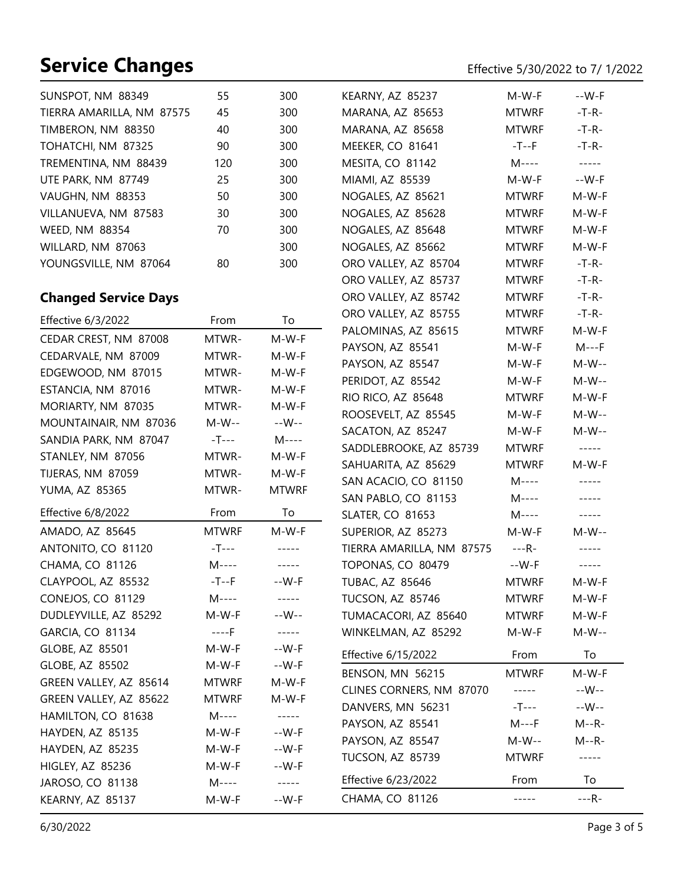# **Service Changes** Effective 5000 to 7/2022 to 7/ 1/2022 to 7/ 1/2022 to 7/ 1/2022 to 7/ 1/2022 to 7/ 1/2022 to 7/ 1/2022 to 7/ 1/2022 to 7/ 1/2022 to 7/ 1/2022 to 7/ 1/2022 to 7/ 1/2022 to 7/ 1/2022 to 7/ 1/2022 to 7/ 1/20

|  | Effective 5/30/2022 to 7/ 1/2022 |  |  |
|--|----------------------------------|--|--|
|--|----------------------------------|--|--|

| SUNSPOT, NM 88349                            | 55           | 300              | KEARNY, AZ 85237                             | M-W-F                | --W-F       |
|----------------------------------------------|--------------|------------------|----------------------------------------------|----------------------|-------------|
| TIERRA AMARILLA, NM 87575                    | 45           | 300              | MARANA, AZ 85653                             | <b>MTWRF</b>         | $-T-R-$     |
| TIMBERON, NM 88350                           | 40           | 300              | MARANA, AZ 85658                             | <b>MTWRF</b>         | $-T-R-$     |
| TOHATCHI, NM 87325                           | 90           | 300              | MEEKER, CO 81641                             | $-T--F$              | $-T-R-$     |
| TREMENTINA, NM 88439                         | 120          | 300              | MESITA, CO 81142                             | M----                | $-----$     |
| UTE PARK, NM 87749                           | 25           | 300              | MIAMI, AZ 85539                              | M-W-F                | $-W-F$      |
| VAUGHN, NM 88353                             | 50           | 300              | NOGALES, AZ 85621                            | <b>MTWRF</b>         | M-W-F       |
| VILLANUEVA, NM 87583                         | 30           | 300              | NOGALES, AZ 85628                            | <b>MTWRF</b>         | M-W-F       |
| WEED, NM 88354                               | 70           | 300              | NOGALES, AZ 85648                            | <b>MTWRF</b>         | M-W-F       |
| WILLARD, NM 87063                            |              | 300              | NOGALES, AZ 85662                            | <b>MTWRF</b>         | M-W-F       |
| YOUNGSVILLE, NM 87064                        | 80           | 300              | ORO VALLEY, AZ 85704                         | <b>MTWRF</b>         | $-T-R-$     |
|                                              |              |                  | ORO VALLEY, AZ 85737                         | <b>MTWRF</b>         | $-T-R-$     |
| <b>Changed Service Days</b>                  |              |                  | ORO VALLEY, AZ 85742                         | <b>MTWRF</b>         | $-T-R-$     |
| Effective 6/3/2022                           | From         | To               | ORO VALLEY, AZ 85755                         | <b>MTWRF</b>         | $-T-R-$     |
|                                              |              |                  | PALOMINAS, AZ 85615                          | <b>MTWRF</b>         | M-W-F       |
| CEDAR CREST, NM 87008<br>CEDARVALE, NM 87009 | MTWR-        | M-W-F<br>M-W-F   | PAYSON, AZ 85541                             | M-W-F                | $M--F$      |
|                                              | MTWR-        |                  | PAYSON, AZ 85547                             | M-W-F                | M-W--       |
| EDGEWOOD, NM 87015                           | MTWR-        | M-W-F            | PERIDOT, AZ 85542                            | M-W-F                | M-W--       |
| ESTANCIA, NM 87016                           | MTWR-        | M-W-F<br>$M-W-F$ | RIO RICO, AZ 85648                           | <b>MTWRF</b>         | M-W-F       |
| MORIARTY, NM 87035                           | MTWR-        |                  | ROOSEVELT, AZ 85545                          | M-W-F                | M-W--       |
| MOUNTAINAIR, NM 87036                        | $M-W--$      | --W--            | SACATON, AZ 85247                            | M-W-F                | M-W--       |
| SANDIA PARK, NM 87047                        | $-T---$      | M----            | SADDLEBROOKE, AZ 85739                       | <b>MTWRF</b>         | $\cdots$    |
| STANLEY, NM 87056                            | MTWR-        | M-W-F            | SAHUARITA, AZ 85629                          | <b>MTWRF</b>         | M-W-F       |
| TIJERAS, NM 87059                            | MTWR-        | M-W-F            | SAN ACACIO, CO 81150                         | M----                | -----       |
| YUMA, AZ 85365                               | MTWR-        | <b>MTWRF</b>     | SAN PABLO, CO 81153                          | $M-----$             | -----       |
| Effective 6/8/2022                           | From         | To               | <b>SLATER, CO 81653</b>                      | M----                | $- - - - -$ |
| AMADO, AZ 85645                              | <b>MTWRF</b> | M-W-F            | SUPERIOR, AZ 85273                           | M-W-F                | $M-W--$     |
| ANTONITO, CO 81120                           | $-T---$      | $- - - - -$      | TIERRA AMARILLA, NM 87575                    | $---R-$              | -----       |
| CHAMA, CO 81126                              | $M---$       | $- - - - -$      | TOPONAS, CO 80479                            | --W-F                | $---$       |
| CLAYPOOL, AZ 85532                           | $-T--F$      | --W-F            | <b>TUBAC, AZ 85646</b>                       | <b>MTWRF</b>         | M-W-F       |
| CONEJOS, CO 81129                            | M----        |                  | TUCSON, AZ 85746                             | <b>MTWRF</b>         | M-W-F       |
| DUDLEYVILLE, AZ 85292                        | M-W-F        | --W--            | TUMACACORI, AZ 85640                         | <b>MTWRF</b>         | M-W-F       |
| GARCIA, CO 81134                             | ----F        | $- - - - -$      | WINKELMAN, AZ 85292                          | M-W-F                | M-W--       |
| GLOBE, AZ 85501                              | M-W-F        | --W-F            | Effective 6/15/2022                          | From                 | To          |
| GLOBE, AZ 85502                              | M-W-F        | --W-F            |                                              | <b>MTWRF</b>         | M-W-F       |
| GREEN VALLEY, AZ 85614                       | <b>MTWRF</b> | M-W-F            | BENSON, MN 56215<br>CLINES CORNERS, NM 87070 |                      | --W--       |
| GREEN VALLEY, AZ 85622                       | <b>MTWRF</b> | M-W-F            | DANVERS, MN 56231                            | $--- - -$<br>$-T---$ | --W--       |
| HAMILTON, CO 81638                           | M----        | $-----$          |                                              | $M--F$               | $M - R -$   |
| HAYDEN, AZ 85135                             | M-W-F        | $-W-F$           | PAYSON, AZ 85541                             |                      |             |
| HAYDEN, AZ 85235                             | M-W-F        | --W-F            | PAYSON, AZ 85547                             | $M-W--$              | $M - R -$   |
| HIGLEY, AZ 85236                             | M-W-F        | --W-F            | TUCSON, AZ 85739                             | <b>MTWRF</b>         | -----       |
| JAROSO, CO 81138                             | M----        | $-----$          | Effective 6/23/2022                          | From                 | To          |
| KEARNY, AZ 85137                             | M-W-F        | $-W-F$           | CHAMA, CO 81126                              | -----                | $---R-$     |

L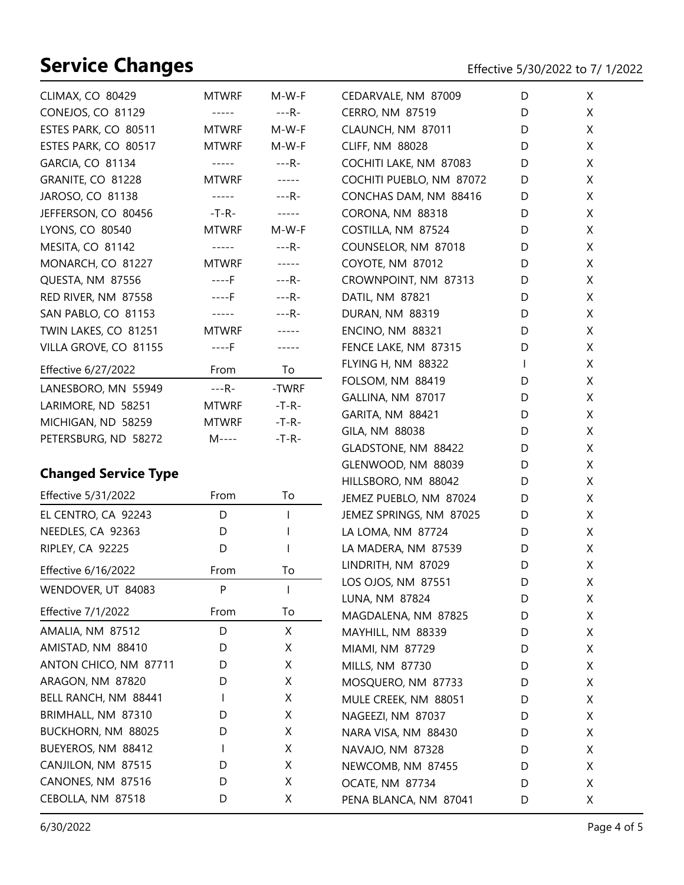| <b>CLIMAX, CO 80429</b>     | <b>MTWRF</b> | M-W-F        | CEDARVALE, NM 87009                   | D      | X      |
|-----------------------------|--------------|--------------|---------------------------------------|--------|--------|
| CONEJOS, CO 81129           | -----        | ---R-        | CERRO, NM 87519                       | D      | X      |
| ESTES PARK, CO 80511        | <b>MTWRF</b> | M-W-F        | CLAUNCH, NM 87011                     | D      | X      |
| ESTES PARK, CO 80517        | <b>MTWRF</b> | M-W-F        | <b>CLIFF, NM 88028</b>                | D      | X      |
| GARCIA, CO 81134            | -----        | ---R-        | COCHITI LAKE, NM 87083                | D      | X      |
| GRANITE, CO 81228           | <b>MTWRF</b> | -----        | COCHITI PUEBLO, NM 87072              | D      | X      |
| JAROSO, CO 81138            | -----        | $---R-$      | CONCHAS DAM, NM 88416                 | D      | X      |
| JEFFERSON, CO 80456         | -T-R-        | $- - - - -$  | CORONA, NM 88318                      | D      | X      |
| LYONS, CO 80540             | <b>MTWRF</b> | $M-W-F$      | COSTILLA, NM 87524                    | D      | X      |
| MESITA, CO 81142            | -----        | ---R-        | COUNSELOR, NM 87018                   | D      | X      |
| MONARCH, CO 81227           | <b>MTWRF</b> | $- - - - -$  | COYOTE, NM 87012                      | D      | X      |
| QUESTA, NM 87556            | ----F        | $---R-$      | CROWNPOINT, NM 87313                  | D      | X      |
| RED RIVER, NM 87558         | ----F        | $---R-$      | DATIL, NM 87821                       | D      | X      |
| SAN PABLO, CO 81153         | -----        | ---R-        | <b>DURAN, NM 88319</b>                | D      | X      |
| TWIN LAKES, CO 81251        | <b>MTWRF</b> | $- - - - -$  | <b>ENCINO, NM 88321</b>               | D      | X      |
| VILLA GROVE, CO 81155       | $---F$       | -----        | FENCE LAKE, NM 87315                  | D      | X      |
| Effective 6/27/2022         | From         | To           | FLYING H, NM 88322                    | L      | X      |
| LANESBORO, MN 55949         | $---R-$      | -TWRF        | FOLSOM, NM 88419                      | D      | X      |
| LARIMORE, ND 58251          | <b>MTWRF</b> | $-T-R-$      | GALLINA, NM 87017                     | D      | X      |
| MICHIGAN, ND 58259          | <b>MTWRF</b> | $-T-R-$      | GARITA, NM 88421                      | D      | X      |
| PETERSBURG, ND 58272        | M----        | $-T-R-$      | GILA, NM 88038                        | D      | X      |
|                             |              |              | GLADSTONE, NM 88422                   | D      | X      |
| <b>Changed Service Type</b> |              |              | GLENWOOD, NM 88039                    | D      | X      |
|                             |              |              | HILLSBORO, NM 88042                   | D      | X      |
| Effective 5/31/2022         | From         | To           | JEMEZ PUEBLO, NM 87024                | D      | X      |
| EL CENTRO, CA 92243         | D            | $\mathbf{I}$ | JEMEZ SPRINGS, NM 87025               | D      | X      |
| NEEDLES, CA 92363           | D            |              | LA LOMA, NM 87724                     | D      | X      |
| RIPLEY, CA 92225            | D            |              | LA MADERA, NM 87539                   | D      | X      |
| Effective 6/16/2022         | From         | To           | LINDRITH, NM 87029                    | D      | X      |
| WENDOVER, UT 84083          | P            | ı            | LOS OJOS, NM 87551                    | D      | X      |
| <b>Effective 7/1/2022</b>   | From         | To           | LUNA, NM 87824<br>MAGDALENA, NM 87825 | D<br>D | X<br>X |
| AMALIA, NM 87512            | D            | X            | MAYHILL, NM 88339                     | D      | X      |
| AMISTAD, NM 88410           | D            | X            | MIAMI, NM 87729                       | D      | X      |
| ANTON CHICO, NM 87711       | D            | X            | MILLS, NM 87730                       | D      | X      |
| ARAGON, NM 87820            | D            | X            | MOSQUERO, NM 87733                    | D      | X      |
| BELL RANCH, NM 88441        | L            | X            | MULE CREEK, NM 88051                  | D      | X      |
| BRIMHALL, NM 87310          | D            | Χ            | NAGEEZI, NM 87037                     | D      | X      |
| BUCKHORN, NM 88025          | D            | Χ            | NARA VISA, NM 88430                   | D      | X      |

BUEYEROS, NM 88412 I X CANJILON, NM 87515 D X CANONES, NM 87516 D X CEBOLLA, NM 87518 D X

NAVAJO, NM 87328 D X NEWCOMB, NM 87455 D X OCATE, NM 87734 D X PENA BLANCA, NM 87041 D X